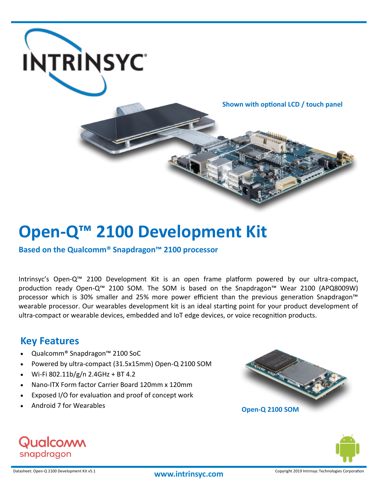

**Shown with optional LCD / touch panel**

# **Open-Q™ 2100 Development Kit**

**Based on the Qualcomm® Snapdragon™ 2100 processor**

Intrinsyc's Open-Q™ 2100 Development Kit is an open frame platform powered by our ultra-compact, production ready Open-Q™ 2100 SOM. The SOM is based on the Snapdragon™ Wear 2100 (APQ8009W) processor which is 30% smaller and 25% more power efficient than the previous generation Snapdragon™ wearable processor. Our wearables development kit is an ideal starting point for your product development of ultra-compact or wearable devices, embedded and IoT edge devices, or voice recognition products.

## **Key Features**

- Qualcomm® Snapdragon™ 2100 SoC
- Powered by ultra-compact (31.5x15mm) Open-Q 2100 SOM
- Wi-Fi 802.11b/g/n 2.4GHz + BT 4.2
- Nano-ITX Form factor Carrier Board 120mm x 120mm
- Exposed I/O for evaluation and proof of concept work
-